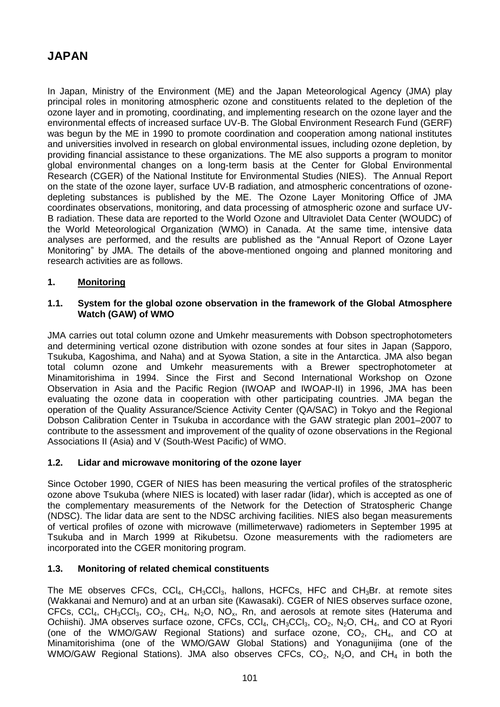# **JAPAN**

In Japan, Ministry of the Environment (ME) and the Japan Meteorological Agency (JMA) play principal roles in monitoring atmospheric ozone and constituents related to the depletion of the ozone layer and in promoting, coordinating, and implementing research on the ozone layer and the environmental effects of increased surface UV-B. The Global Environment Research Fund (GERF) was begun by the ME in 1990 to promote coordination and cooperation among national institutes and universities involved in research on global environmental issues, including ozone depletion, by providing financial assistance to these organizations. The ME also supports a program to monitor global environmental changes on a long-term basis at the Center for Global Environmental Research (CGER) of the National Institute for Environmental Studies (NIES). The Annual Report on the state of the ozone layer, surface UV-B radiation, and atmospheric concentrations of ozonedepleting substances is published by the ME. The Ozone Layer Monitoring Office of JMA coordinates observations, monitoring, and data processing of atmospheric ozone and surface UV-B radiation. These data are reported to the World Ozone and Ultraviolet Data Center (WOUDC) of the World Meteorological Organization (WMO) in Canada. At the same time, intensive data analyses are performed, and the results are published as the "Annual Report of Ozone Layer Monitoring" by JMA. The details of the above-mentioned ongoing and planned monitoring and research activities are as follows.

#### **1. Monitoring**

#### **1.1. System for the global ozone observation in the framework of the Global Atmosphere Watch (GAW) of WMO**

JMA carries out total column ozone and Umkehr measurements with Dobson spectrophotometers and determining vertical ozone distribution with ozone sondes at four sites in Japan (Sapporo, Tsukuba, Kagoshima, and Naha) and at Syowa Station, a site in the Antarctica. JMA also began total column ozone and Umkehr measurements with a Brewer spectrophotometer at Minamitorishima in 1994. Since the First and Second International Workshop on Ozone Observation in Asia and the Pacific Region (IWOAP and IWOAP-II) in 1996, JMA has been evaluating the ozone data in cooperation with other participating countries. JMA began the operation of the Quality Assurance/Science Activity Center (QA/SAC) in Tokyo and the Regional Dobson Calibration Center in Tsukuba in accordance with the GAW strategic plan 2001–2007 to contribute to the assessment and improvement of the quality of ozone observations in the Regional Associations II (Asia) and V (South-West Pacific) of WMO.

#### **1.2. Lidar and microwave monitoring of the ozone layer**

Since October 1990, CGER of NIES has been measuring the vertical profiles of the stratospheric ozone above Tsukuba (where NIES is located) with laser radar (lidar), which is accepted as one of the complementary measurements of the Network for the Detection of Stratospheric Change (NDSC). The lidar data are sent to the NDSC archiving facilities. NIES also began measurements of vertical profiles of ozone with microwave (millimeterwave) radiometers in September 1995 at Tsukuba and in March 1999 at Rikubetsu. Ozone measurements with the radiometers are incorporated into the CGER monitoring program.

#### **1.3. Monitoring of related chemical constituents**

The ME observes CFCs, CCl<sub>4</sub>, CH<sub>3</sub>CCl<sub>3</sub>, hallons, HCFCs, HFC and CH<sub>3</sub>Br. at remote sites (Wakkanai and Nemuro) and at an urban site (Kawasaki). CGER of NIES observes surface ozone, CFCs, CCl<sub>4</sub>, CH<sub>3</sub>CCl<sub>3</sub>, CO<sub>2</sub>, CH<sub>4</sub>, N<sub>2</sub>O, NO<sub>x</sub>, Rn, and aerosols at remote sites (Hateruma and Ochiishi). JMA observes surface ozone, CFCs, CCl<sub>4</sub>, CH<sub>3</sub>CCl<sub>3</sub>, CO<sub>2</sub>, N<sub>2</sub>O, CH<sub>4</sub>, and CO at Ryori (one of the WMO/GAW Regional Stations) and surface ozone,  $CO<sub>2</sub>$ , CH<sub>4</sub>, and CO at Minamitorishima (one of the WMO/GAW Global Stations) and Yonagunijima (one of the WMO/GAW Regional Stations). JMA also observes CFCs,  $CO<sub>2</sub>$ , N<sub>2</sub>O, and CH<sub>4</sub> in both the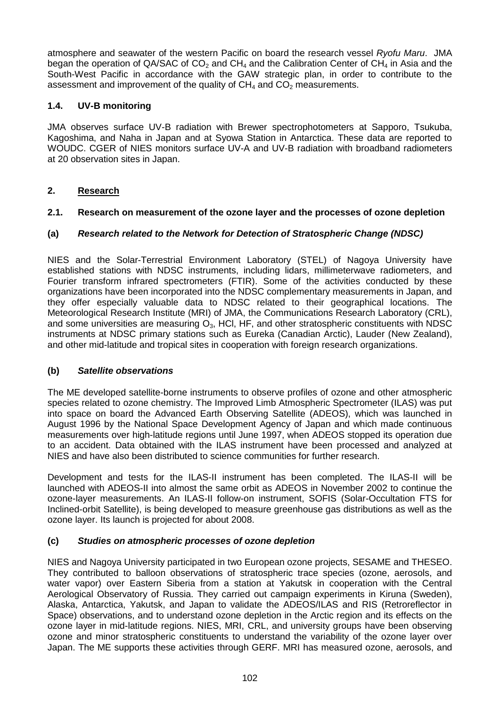atmosphere and seawater of the western Pacific on board the research vessel *Ryofu Maru*. JMA began the operation of QA/SAC of  $CO<sub>2</sub>$  and CH<sub>4</sub> and the Calibration Center of CH<sub>4</sub> in Asia and the South-West Pacific in accordance with the GAW strategic plan, in order to contribute to the assessment and improvement of the quality of  $CH<sub>4</sub>$  and  $CO<sub>2</sub>$  measurements.

# **1.4. UV-B monitoring**

JMA observes surface UV-B radiation with Brewer spectrophotometers at Sapporo, Tsukuba, Kagoshima, and Naha in Japan and at Syowa Station in Antarctica. These data are reported to WOUDC. CGER of NIES monitors surface UV-A and UV-B radiation with broadband radiometers at 20 observation sites in Japan.

# **2. Research**

## **2.1. Research on measurement of the ozone layer and the processes of ozone depletion**

# **(a)** *Research related to the Network for Detection of Stratospheric Change (NDSC)*

NIES and the Solar-Terrestrial Environment Laboratory (STEL) of Nagoya University have established stations with NDSC instruments, including lidars, millimeterwave radiometers, and Fourier transform infrared spectrometers (FTIR). Some of the activities conducted by these organizations have been incorporated into the NDSC complementary measurements in Japan, and they offer especially valuable data to NDSC related to their geographical locations. The Meteorological Research Institute (MRI) of JMA, the Communications Research Laboratory (CRL), and some universities are measuring  $O_3$ , HCl, HF, and other stratospheric constituents with NDSC instruments at NDSC primary stations such as Eureka (Canadian Arctic), Lauder (New Zealand), and other mid-latitude and tropical sites in cooperation with foreign research organizations.

## **(b)** *Satellite observations*

The ME developed satellite-borne instruments to observe profiles of ozone and other atmospheric species related to ozone chemistry. The Improved Limb Atmospheric Spectrometer (ILAS) was put into space on board the Advanced Earth Observing Satellite (ADEOS), which was launched in August 1996 by the National Space Development Agency of Japan and which made continuous measurements over high-latitude regions until June 1997, when ADEOS stopped its operation due to an accident. Data obtained with the ILAS instrument have been processed and analyzed at NIES and have also been distributed to science communities for further research.

Development and tests for the ILAS-II instrument has been completed. The ILAS-II will be launched with ADEOS-II into almost the same orbit as ADEOS in November 2002 to continue the ozone-layer measurements. An ILAS-II follow-on instrument, SOFIS (Solar-Occultation FTS for Inclined-orbit Satellite), is being developed to measure greenhouse gas distributions as well as the ozone layer. Its launch is projected for about 2008.

## **(c)** *Studies on atmospheric processes of ozone depletion*

NIES and Nagoya University participated in two European ozone projects, SESAME and THESEO. They contributed to balloon observations of stratospheric trace species (ozone, aerosols, and water vapor) over Eastern Siberia from a station at Yakutsk in cooperation with the Central Aerological Observatory of Russia. They carried out campaign experiments in Kiruna (Sweden), Alaska, Antarctica, Yakutsk, and Japan to validate the ADEOS/ILAS and RIS (Retroreflector in Space) observations, and to understand ozone depletion in the Arctic region and its effects on the ozone layer in mid-latitude regions. NIES, MRI, CRL, and university groups have been observing ozone and minor stratospheric constituents to understand the variability of the ozone layer over Japan. The ME supports these activities through GERF. MRI has measured ozone, aerosols, and